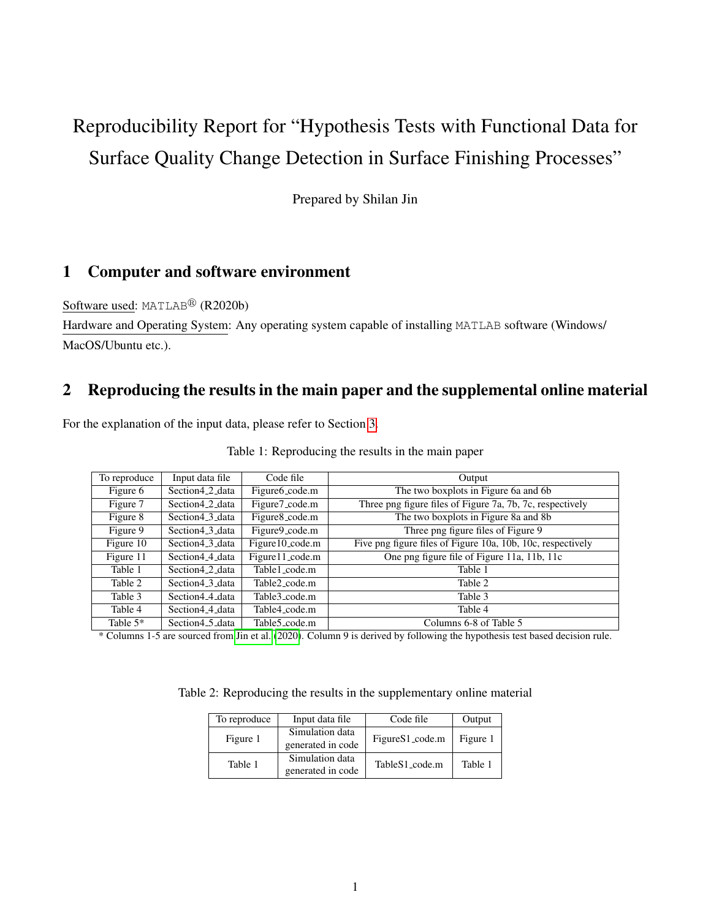# Reproducibility Report for "Hypothesis Tests with Functional Data for Surface Quality Change Detection in Surface Finishing Processes"

Prepared by Shilan Jin

### 1 Computer and software environment

Software used: MATLAB<sup>®</sup> (R2020b)

Hardware and Operating System: Any operating system capable of installing MATLAB software (Windows/ MacOS/Ubuntu etc.).

#### 2 Reproducing the results in the main paper and the supplemental online material

For the explanation of the input data, please refer to Section [3.](#page-1-0)

| To reproduce | Input data file              | Code file                 | Output                                                      |
|--------------|------------------------------|---------------------------|-------------------------------------------------------------|
| Figure 6     | Section4 <sub>-2-data</sub>  | Figure6_code.m            | The two boxplots in Figure 6a and 6b                        |
| Figure 7     | Section 4 2 data             | Figure7_code.m            | Three png figure files of Figure 7a, 7b, 7c, respectively   |
| Figure 8     | Section4_3_data              | Figure8_code.m            | The two boxplots in Figure 8a and 8b                        |
| Figure 9     | Section 4 3 data             | Figure9_code.m            | Three png figure files of Figure 9                          |
| Figure 10    | Section 4 3 data             | Figure 10_code.m          | Five png figure files of Figure 10a, 10b, 10c, respectively |
| Figure 11    | Section4 <sub>-4</sub> -data | Figure 11_code.m          | One png figure file of Figure 11a, 11b, 11c                 |
| Table 1      | Section4 <sub>2</sub> data   | Table1_code.m             | Table 1                                                     |
| Table 2      | Section 4 3 data             | Table2 code.m             | Table 2                                                     |
| Table 3      | Section 44 data              | Table3_code.m             | Table 3                                                     |
| Table 4      | Section4_4_data              | Table4_code.m             | Table 4                                                     |
| Table $5*$   | Section 4 5 data             | Table <sub>5</sub> code.m | Columns 6-8 of Table 5                                      |

Table 1: Reproducing the results in the main paper

\* Columns 1-5 are sourced from [Jin et al.](#page-2-0) [\(2020\)](#page-2-0). Column 9 is derived by following the hypothesis test based decision rule.

Table 2: Reproducing the results in the supplementary online material

| To reproduce<br>Input data file |                                      | Code file       | Output   |
|---------------------------------|--------------------------------------|-----------------|----------|
| Figure 1                        | Simulation data<br>generated in code | FigureS1_code.m | Figure 1 |
| Table 1                         | Simulation data<br>generated in code | TableS1_code.m  | Table 1  |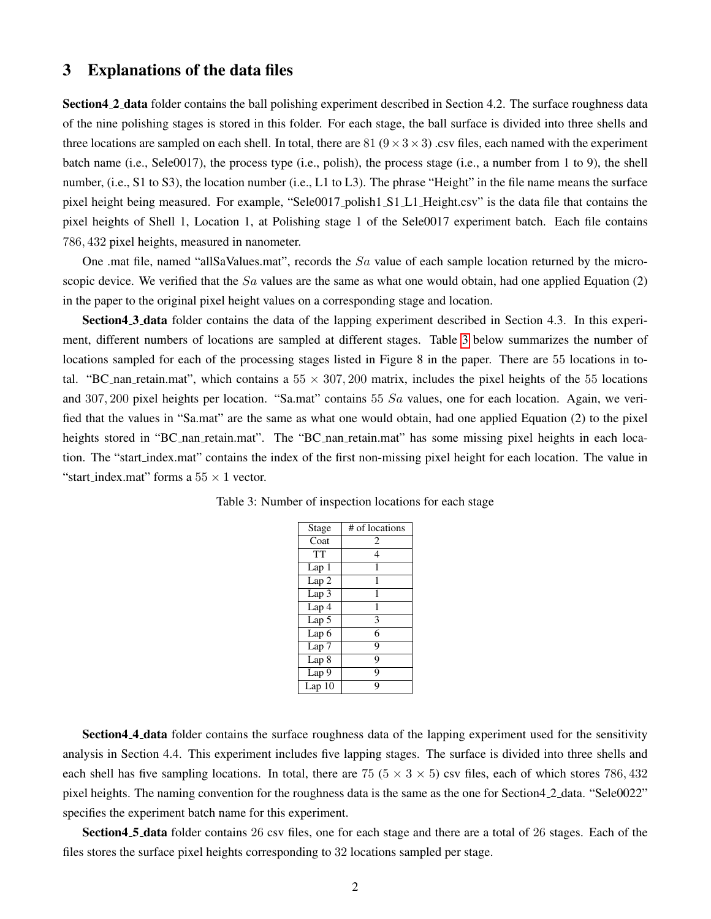#### <span id="page-1-0"></span>3 Explanations of the data files

Section4 2 data folder contains the ball polishing experiment described in Section 4.2. The surface roughness data of the nine polishing stages is stored in this folder. For each stage, the ball surface is divided into three shells and three locations are sampled on each shell. In total, there are 81 ( $9 \times 3 \times 3$ ) .csv files, each named with the experiment batch name (i.e., Sele0017), the process type (i.e., polish), the process stage (i.e., a number from 1 to 9), the shell number, (i.e., S1 to S3), the location number (i.e., L1 to L3). The phrase "Height" in the file name means the surface pixel height being measured. For example, "Sele0017 polish1 S1 L1 Height.csv" is the data file that contains the pixel heights of Shell 1, Location 1, at Polishing stage 1 of the Sele0017 experiment batch. Each file contains 786, 432 pixel heights, measured in nanometer.

One .mat file, named "allSaValues.mat", records the Sa value of each sample location returned by the microscopic device. We verified that the  $Sa$  values are the same as what one would obtain, had one applied Equation  $(2)$ in the paper to the original pixel height values on a corresponding stage and location.

Section4 3 data folder contains the data of the lapping experiment described in Section 4.3. In this experiment, different numbers of locations are sampled at different stages. Table [3](#page-1-1) below summarizes the number of locations sampled for each of the processing stages listed in Figure 8 in the paper. There are 55 locations in total. "BC nan retain.mat", which contains a  $55 \times 307,200$  matrix, includes the pixel heights of the 55 locations and 307, 200 pixel heights per location. "Sa.mat" contains 55  $Sa$  values, one for each location. Again, we verified that the values in "Sa.mat" are the same as what one would obtain, had one applied Equation (2) to the pixel heights stored in "BC\_nan\_retain.mat". The "BC\_nan\_retain.mat" has some missing pixel heights in each location. The "start index.mat" contains the index of the first non-missing pixel height for each location. The value in "start\_index.mat" forms a  $55 \times 1$  vector.

| Stage              | # of locations |
|--------------------|----------------|
| Coat               | 2              |
| <b>TT</b>          | 4              |
| Lap1               | 1              |
| Lap 2              | 1              |
| Lap 3              | 1              |
| Lap 4              | 1              |
| Lap 5              | 3              |
| Lap 6              | 6              |
| Lap 7              | 9              |
| Lap 8              | 9              |
| Lap $\overline{9}$ | 9              |
| Lap10              | Q              |

<span id="page-1-1"></span>Table 3: Number of inspection locations for each stage

Section4<sub>-4</sub> data folder contains the surface roughness data of the lapping experiment used for the sensitivity analysis in Section 4.4. This experiment includes five lapping stages. The surface is divided into three shells and each shell has five sampling locations. In total, there are 75 ( $5 \times 3 \times 5$ ) csv files, each of which stores 786, 432 pixel heights. The naming convention for the roughness data is the same as the one for Section4 2 data. "Sele0022" specifies the experiment batch name for this experiment.

Section4.5 data folder contains 26 csv files, one for each stage and there are a total of 26 stages. Each of the files stores the surface pixel heights corresponding to 32 locations sampled per stage.